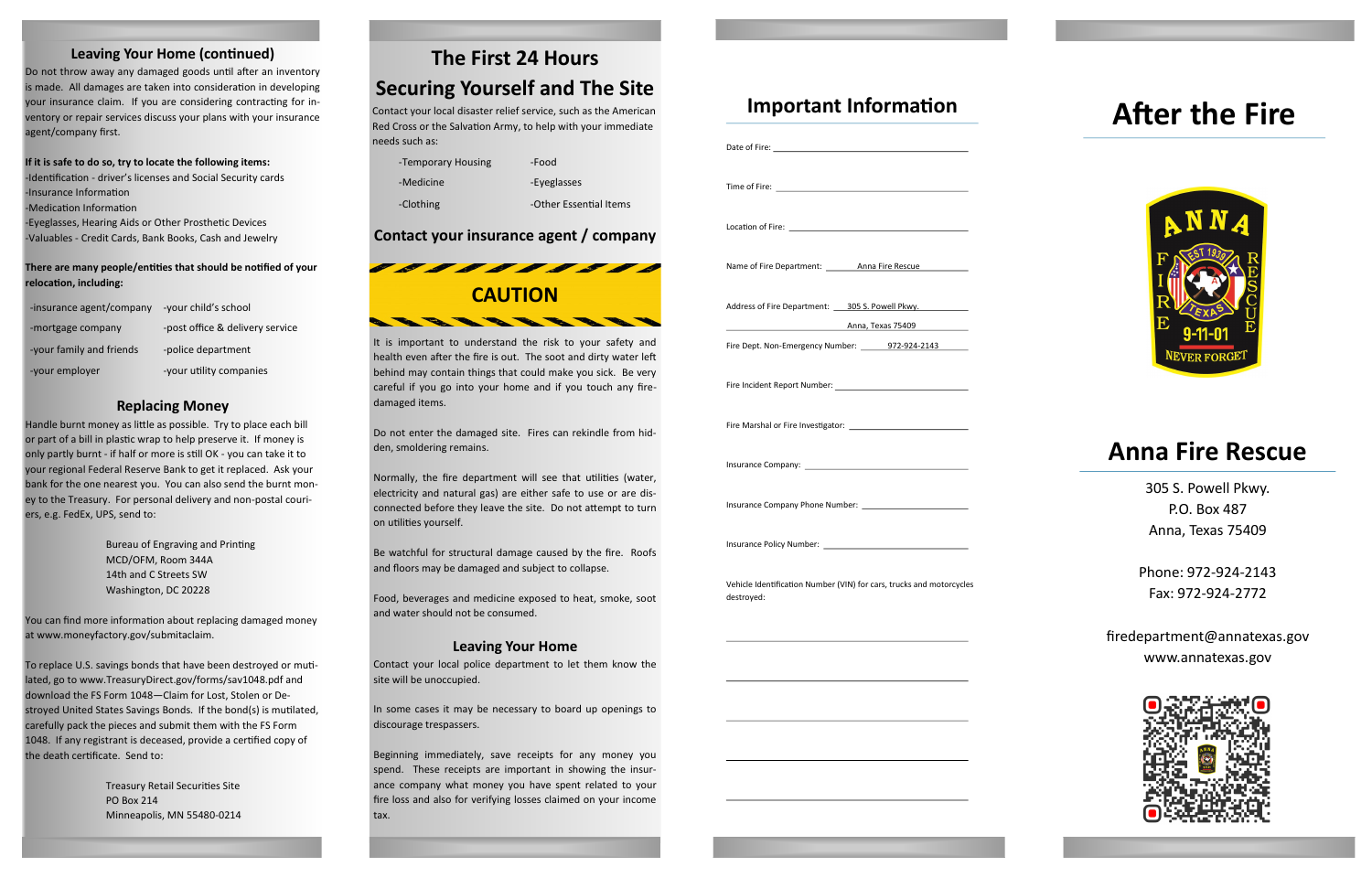# **The First 24 Hours**

# **Securing Yourself and The Site**

Contact your local disaster relief service, such as the American Red Cross or the Salvation Army, to help with your immediate needs such as:

# **Contact your insurance agent / company**

### **Leaving Your Home (continued)**

Do not throw away any damaged goods until after an inventory is made. All damages are taken into consideration in developing your insurance claim. If you are considering contracting for inventory or repair services discuss your plans with your insurance agent/company first.

**If it is safe to do so, try to locate the following items:** -Identification - driver's licenses and Social Security cards -Insurance Information

-Medication Information

-Eyeglasses, Hearing Aids or Other Prosthetic Devices -Valuables - Credit Cards, Bank Books, Cash and Jewelry

#### **There are many people/entities that should be notified of your relocation, including:**

## **Replacing Money**

Handle burnt money as little as possible. Try to place each bill or part of a bill in plastic wrap to help preserve it. If money is only partly burnt - if half or more is still OK - you can take it to your regional Federal Reserve Bank to get it replaced. Ask your bank for the one nearest you. You can also send the burnt money to the Treasury. For personal delivery and non-postal couriers, e.g. FedEx, UPS, send to:

-Temporary Housing Food -Medicine -Eyeglasses -Clothing -Other Essential Items

Bureau of Engraving and Printing MCD/OFM, Room 344A 14th and C Streets SW Washington, DC 20228

You can find more information about replacing damaged money at www.moneyfactory.gov/submitaclaim.

To replace U.S. savings bonds that have been destroyed or mutilated, go to www.TreasuryDirect.gov/forms/sav1048.pdf and download the FS Form 1048—Claim for Lost, Stolen or Destroyed United States Savings Bonds. If the bond(s) is mutilated, carefully pack the pieces and submit them with the FS Form 1048. If any registrant is deceased, provide a certified copy of the death certificate. Send to:

> Treasury Retail Securities Site PO Box 214 Minneapolis, MN 55480-0214

# **Anna Fire Rescue**

305 S. Powell Pkwy. P.O. Box 487 Anna, Texas 75409

Phone: 972-924-2143 Fax: 972-924-2772

firedepartment@annatexas.gov www.annatexas.gov



# **Important Information**

| Time of Fire: <u>__________________________</u> _______                                                        |  |
|----------------------------------------------------------------------------------------------------------------|--|
|                                                                                                                |  |
| Name of Fire Department: _________ Anna Fire Rescue                                                            |  |
| Address of Fire Department: 305 S. Powell Pkwy.                                                                |  |
| Anna, Texas 75409                                                                                              |  |
| Fire Dept. Non-Emergency Number: 18972-924-2143                                                                |  |
|                                                                                                                |  |
|                                                                                                                |  |
| Insurance Company: Network and Company and Company and Company and Company and Company and Company and Company |  |
|                                                                                                                |  |
|                                                                                                                |  |
| Vehicle Identification Number (VIN) for cars, trucks and motorcycles<br>destroyed:                             |  |
|                                                                                                                |  |
|                                                                                                                |  |
|                                                                                                                |  |

# **After the Fire**





It is important to understand the risk to your safety and health even after the fire is out. The soot and dirty water left behind may contain things that could make you sick. Be very careful if you go into your home and if you touch any firedamaged items.

Do not enter the damaged site. Fires can rekindle from hidden, smoldering remains.

Normally, the fire department will see that utilities (water, electricity and natural gas) are either safe to use or are disconnected before they leave the site. Do not attempt to turn on utilities yourself.

Be watchful for structural damage caused by the fire. Roofs and floors may be damaged and subject to collapse.

Food, beverages and medicine exposed to heat, smoke, soot and water should not be consumed.

#### **Leaving Your Home**

Contact your local police department to let them know the site will be unoccupied.

In some cases it may be necessary to board up openings to discourage trespassers.

Beginning immediately, save receipts for any money you spend. These receipts are important in showing the insurance company what money you have spent related to your fire loss and also for verifying losses claimed on your income tax.

| -insurance agent/company | -your child's school            |
|--------------------------|---------------------------------|
| -mortgage company        | -post office & delivery service |
| -your family and friends | -police department              |
| -your employer           | -your utility companies         |